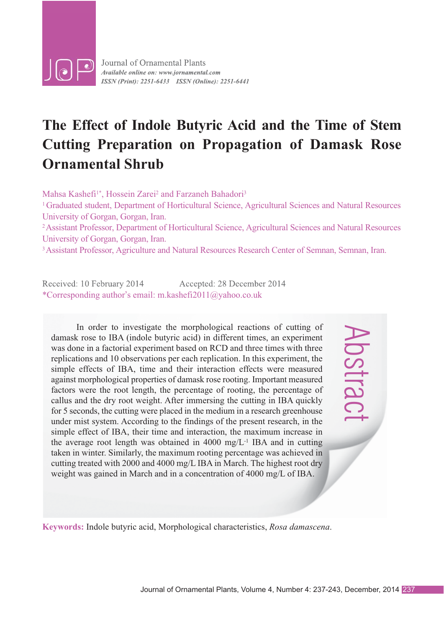

# **The Effect of Indole Butyric Acid and the Time of Stem Cutting Preparation on Propagation of Damask Rose Ornamental Shrub**

Mahsa Kashefi<sup>1\*</sup>, Hossein Zarei<sup>2</sup> and Farzaneh Bahadori<sup>3</sup>

1 Graduated student, Department of Horticultural Science, Agricultural Sciences and Natural Resources University of Gorgan, Gorgan, Iran.

2 Assistant Professor, Department of Horticultural Science, Agricultural Sciences and Natural Resources University of Gorgan, Gorgan, Iran.

<sup>3</sup> Assistant Professor, Agriculture and Natural Resources Research Center of Semnan, Semnan, Iran.

Accepted: 28 December 2014 \*Corresponding author's email: m.kashefi2011@yahoo.co.uk

In order to investigate the morphological reactions of cutting of damask rose to IBA (indole butyric acid) in different times, an experiment was done in a factorial experiment based on RCD and three times with three replications and 10 observations per each replication. In this experiment, the simple effects of IBA, time and their interaction effects were measured against morphological properties of damask rose rooting. Important measured factors were the root length, the percentage of rooting, the percentage of callus and the dry root weight. After immersing the cutting in IBA quickly for 5 seconds, the cutting were placed in the medium in a research greenhouse under mist system. According to the findings of the present research, in the simple effect of IBA, their time and interaction, the maximum increase in the average root length was obtained in 4000 mg/L-1 IBA and in cutting taken in winter. Similarly, the maximum rooting percentage was achieved in cutting treated with 2000 and 4000 mg/L IBA in March. The highest root dry weight was gained in March and in a concentration of 4000 mg/L of IBA.

**Keywords:** Indole butyric acid, Morphological characteristics, *Rosa damascena*.

Abstract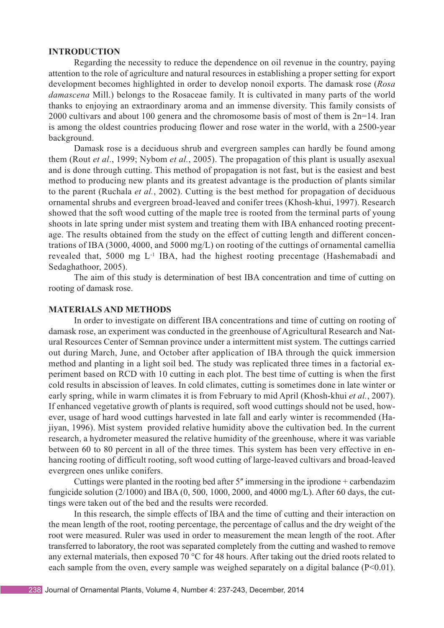#### **INTRODUCTION**

Regarding the necessity to reduce the dependence on oil revenue in the country, paying attention to the role of agriculture and natural resources in establishing a proper setting for export development becomes highlighted in order to develop nonoil exports. The damask rose (*Rosa damascena* Mill.) belongs to the Rosaceae family. It is cultivated in many parts of the world thanks to enjoying an extraordinary aroma and an immense diversity. This family consists of 2000 cultivars and about 100 genera and the chromosome basis of most of them is 2n=14. Iran is among the oldest countries producing flower and rose water in the world, with a 2500-year background.

Damask rose is a deciduous shrub and evergreen samples can hardly be found among them (Rout *et al*., 1999; Nybom *et al.*, 2005). The propagation of this plant is usually asexual and is done through cutting. This method of propagation is not fast, but is the easiest and best method to producing new plants and its greatest advantage is the production of plants similar to the parent (Ruchala *et al.*, 2002). Cutting is the best method for propagation of deciduous ornamental shrubs and evergreen broad-leaved and conifer trees (Khosh-khui, 1997). Research showed that the soft wood cutting of the maple tree is rooted from the terminal parts of young shoots in late spring under mist system and treating them with IBA enhanced rooting precentage. The results obtained from the study on the effect of cutting length and different concentrations of IBA (3000, 4000, and 5000 mg/L) on rooting of the cuttings of ornamental camellia revealed that, 5000 mg L-1 IBA, had the highest rooting precentage (Hashemabadi and Sedaghathoor, 2005).

The aim of this study is determination of best IBA concentration and time of cutting on rooting of damask rose.

## **MATERIALS AND METHODS**

In order to investigate on different IBA concentrations and time of cutting on rooting of damask rose, an experiment was conducted in the greenhouse of Agricultural Research and Natural Resources Center of Semnan province under a intermittent mist system. The cuttings carried out during March, June, and October after application of IBA through the quick immersion method and planting in a light soil bed. The study was replicated three times in a factorial experiment based on RCD with 10 cutting in each plot. The best time of cutting is when the first cold results in abscission of leaves. In cold climates, cutting is sometimes done in late winter or early spring, while in warm climates it is from February to mid April (Khosh-khui *et al.*, 2007). If enhanced vegetative growth of plants is required, soft wood cuttings should not be used, however, usage of hard wood cuttings harvested in late fall and early winter is recommended (Hajiyan, 1996). Mist system provided relative humidity above the cultivation bed. In the current research, a hydrometer measured the relative humidity of the greenhouse, where it was variable between 60 to 80 percent in all of the three times. This system has been very effective in enhancing rooting of difficult rooting, soft wood cutting of large-leaved cultivars and broad-leaved evergreen ones unlike conifers.

Cuttings were planted in the rooting bed after  $5$ " immersing in the iprodione + carbendazim fungicide solution (2/1000) and IBA (0, 500, 1000, 2000, and 4000 mg/L). After 60 days, the cuttings were taken out of the bed and the results were recorded.

In this research, the simple effects of IBA and the time of cutting and their interaction on the mean length of the root, rooting percentage, the percentage of callus and the dry weight of the root were measured. Ruler was used in order to measurement the mean length of the root. After transferred to laboratory, the root was separated completely from the cutting and washed to remove any external materials, then exposed 70 °C for 48 hours. After taking out the dried roots related to each sample from the oven, every sample was weighed separately on a digital balance (P<0.01).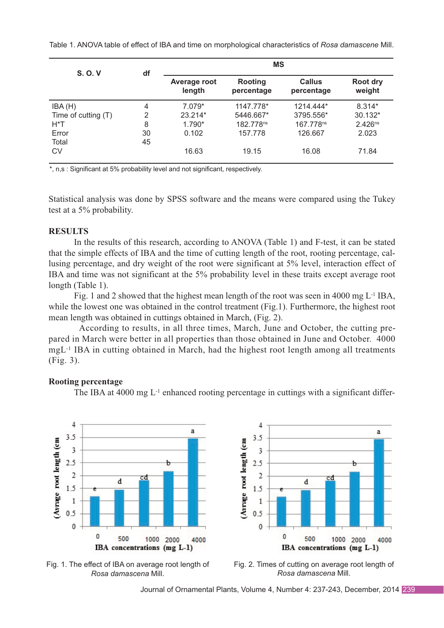Table 1. ANOVA table of effect of IBA and time on morphological characteristics of *Rosa damascene* Mill.

| <b>S.O.V</b>        | df             | <b>MS</b>              |                       |                      |                     |
|---------------------|----------------|------------------------|-----------------------|----------------------|---------------------|
|                     |                | Average root<br>length | Rooting<br>percentage | Callus<br>percentage | Root dry<br>weight  |
| IBA(H)              | 4              | $7.079*$               | 1147.778*             | 1214.444*            | $8.314*$            |
| Time of cutting (T) | $\overline{2}$ | 23.214*                | 5446.667*             | 3795.556*            | 30.132*             |
| H*T                 | 8              | $1.790*$               | 182.778ns             | 167.778ns            | 2.426 <sup>ns</sup> |
| Error               | 30             | 0.102                  | 157.778               | 126.667              | 2.023               |
| Total               | 45             |                        |                       |                      |                     |
| <b>CV</b>           |                | 16.63                  | 19.15                 | 16.08                | 71.84               |

\*, n,s : Significant at 5% probability level and not significant, respectively.

Statistical analysis was done by SPSS software and the means were compared using the Tukey test at a 5% probability.

## **RESULTS**

In the results of this research, according to ANOVA (Table 1) and F-test, it can be stated that the simple effects of IBA and the time of cutting length of the root, rooting percentage, callusing percentage, and dry weight of the root were significant at 5% level, interaction effect of IBA and time was not significant at the 5% probability level in these traits except average root longth (Table 1).

Fig. 1 and 2 showed that the highest mean length of the root was seen in 4000 mg  $L^{-1}$  IBA, while the lowest one was obtained in the control treatment (Fig.1). Furthermore, the highest root mean length was obtained in cuttings obtained in March, (Fig. 2).

According to results, in all three times, March, June and October, the cutting prepared in March were better in all properties than those obtained in June and October. 4000 mgL-1 IBA in cutting obtained in March, had the highest root length among all treatments (Fig. 3).

# **Rooting percentage**

The IBA at  $4000 \text{ mg } L^{-1}$  enhanced rooting percentage in cuttings with a significant differ-







Fig. 2. Times of cutting on average root length of *Rosa damascena* Mill.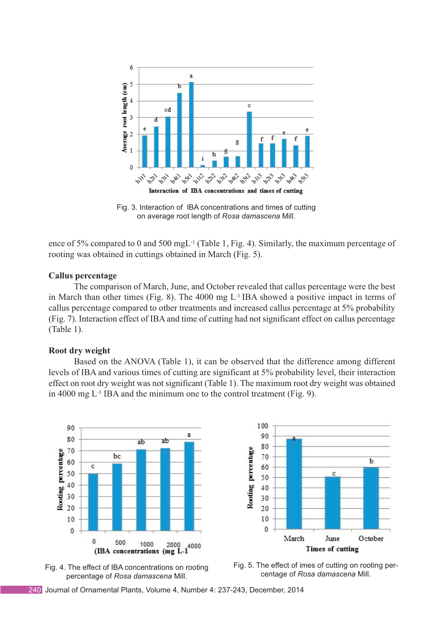

Fig. 3. Interaction of IBA concentrations and times of cutting on average root length of *Rosa damascena* Mill.

ence of 5% compared to 0 and 500 mgL-1 (Table 1, Fig. 4). Similarly, the maximum percentage of rooting was obtained in cuttings obtained in March (Fig. 5).

### **Callus percentage**

The comparison of March, June, and October revealed that callus percentage were the best in March than other times (Fig. 8). The 4000 mg L-1 IBA showed a positive impact in terms of callus percentage compared to other treatments and increased callus percentage at 5% probability (Fig. 7). Interaction effect of IBA and time of cutting had not significant effect on callus percentage (Table 1).

### **Root dry weight**

Based on the ANOVA (Table 1), it can be observed that the difference among different levels of IBA and various times of cutting are significant at 5% probability level, their interaction effect on root dry weight was not significant (Table 1). The maximum root dry weight was obtained in 4000 mg  $L^{-1}$  IBA and the minimum one to the control treatment (Fig. 9).







Fig. 5. The effect of imes of cutting on rooting percentage of *Rosa damascena* Mill.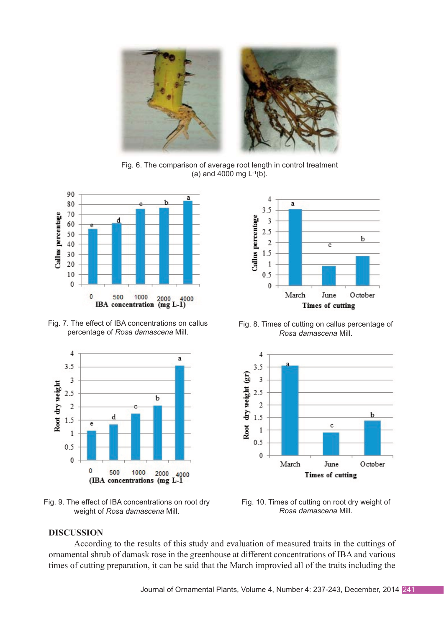

Fig. 6. The comparison of average root length in control treatment (a) and 4000 mg  $L^{-1}(b)$ .



Fig. 7. The effect of IBA concentrations on callus percentage of *Rosa damascena* Mill.



Fig. 9. The effect of IBA concentrations on root dry weight of *Rosa damascena* Mill.



Fig. 8. Times of cutting on callus percentage of *Rosa damascena* Mill.



Fig. 10. Times of cutting on root dry weight of *Rosa damascena* Mill.

## **DISCUSSION**

According to the results of this study and evaluation of measured traits in the cuttings of ornamental shrub of damask rose in the greenhouse at different concentrations of IBA and various times of cutting preparation, it can be said that the March improvied all of the traits including the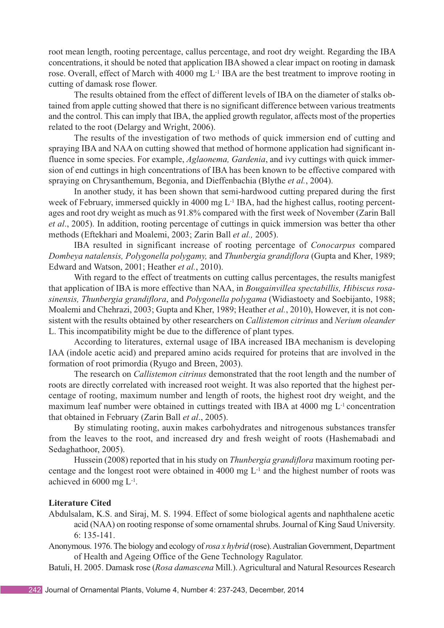root mean length, rooting percentage, callus percentage, and root dry weight. Regarding the IBA concentrations, it should be noted that application IBA showed a clear impact on rooting in damask rose. Overall, effect of March with 4000 mg L-1 IBA are the best treatment to improve rooting in cutting of damask rose flower.

The results obtained from the effect of different levels of IBA on the diameter of stalks obtained from apple cutting showed that there is no significant difference between various treatments and the control. This can imply that IBA, the applied growth regulator, affects most of the properties related to the root (Delargy and Wright, 2006).

The results of the investigation of two methods of quick immersion end of cutting and spraying IBA and NAA on cutting showed that method of hormone application had significant influence in some species. For example, *Aglaonema, Gardenia*, and ivy cuttings with quick immersion of end cuttings in high concentrations of IBA has been known to be effective compared with spraying on Chrysanthemum, Begonia, and Dieffenbachia (Blythe *et al.*, 2004).

In another study, it has been shown that semi-hardwood cutting prepared during the first week of February, immersed quickly in 4000 mg L<sup>-1</sup> IBA, had the highest callus, rooting percentages and root dry weight as much as 91.8% compared with the first week of November (Zarin Ball *et al*., 2005). In addition, rooting percentage of cuttings in quick immersion was better tha other methods (Eftekhari and Moalemi, 2003; Zarin Ball *et al.,* 2005).

IBA resulted in significant increase of rooting percentage of *Conocarpus* compared *Dombeya natalensis, Polygonella polygamy,* and *Thunbergia grandiflora* (Gupta and Kher, 1989; Edward and Watson, 2001; Heather *et al.*, 2010).

With regard to the effect of treatments on cutting callus percentages, the results manigfest that application of IBA is more effective than NAA, in *Bougainvillea spectabillis, Hibiscus rosasinensis, Thunbergia grandiflora*, and *Polygonella polygama* (Widiastoety and Soebijanto, 1988; Moalemi and Chehrazi, 2003; Gupta and Kher, 1989; Heather *et al.*, 2010), However, it is not consistent with the results obtained by other researchers on *Callistemon citrinus* and *Nerium oleander* L. This incompatibility might be due to the difference of plant types.

According to literatures, external usage of IBA increased IBA mechanism is developing IAA (indole acetic acid) and prepared amino acids required for proteins that are involved in the formation of root primordia (Ryugo and Breen, 2003).

The research on *Callistemon citrinus* demonstrated that the root length and the number of roots are directly correlated with increased root weight. It was also reported that the highest percentage of rooting, maximum number and length of roots, the highest root dry weight, and the maximum leaf number were obtained in cuttings treated with IBA at 4000 mg L-1 concentration that obtained in February (Zarin Ball *et al*., 2005).

By stimulating rooting, auxin makes carbohydrates and nitrogenous substances transfer from the leaves to the root, and increased dry and fresh weight of roots (Hashemabadi and Sedaghathoor, 2005).

Hussein (2008) reported that in his study on *Thunbergia grandiflora* maximum rooting percentage and the longest root were obtained in 4000 mg  $L<sup>-1</sup>$  and the highest number of roots was achieved in 6000 mg L-1.

# **Literature Cited**

- Abdulsalam, K.S. and Siraj, M. S. 1994. Effect of some biological agents and naphthalene acetic acid (NAA) on rooting response of some ornamental shrubs. Journal of King Saud University. 6: 135-141.
- Anonymous. 1976. The biology and ecology of *rosa x hybrid* (rose). Australian Government, Department of Health and Ageing Office of the Gene Technology Ragulator.
- Batuli, H. 2005. Damask rose (*Rosa damascena* Mill.). Agricultural and Natural Resources Research